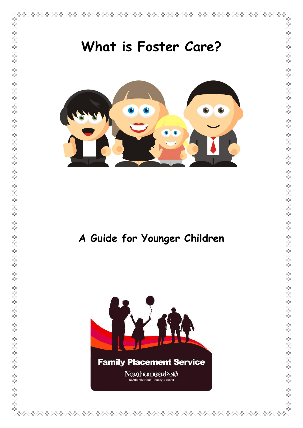

#### **Family Placement Service**

**NORThumBERIANO Corthumberland County Council**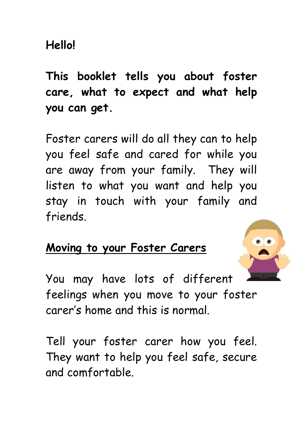**This booklet tells you about foster care, what to expect and what help you can get.**

Foster carers will do all they can to help you feel safe and cared for while you are away from your family. They will listen to what you want and help you stay in touch with your family and friends.

## **Moving to your Foster Carers**



You may have lots of different feelings when you move to your foster carer's home and this is normal.

Tell your foster carer how you feel. They want to help you feel safe, secure and comfortable.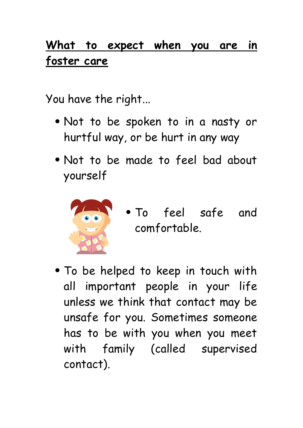## **What to expect when you are in foster care**

You have the right...

- Not to be spoken to in a nasty or hurtful way, or be hurt in any way
- Not to be made to feel bad about yourself



- To feel safe and comfortable.
- To be helped to keep in touch with all important people in your life unless we think that contact may be unsafe for you. Sometimes someone has to be with you when you meet with family (called supervised contact).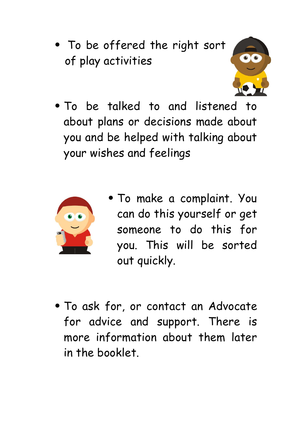To be offered the right sort of play activities



 To be talked to and listened to about plans or decisions made about you and be helped with talking about your wishes and feelings



- To make a complaint. You can do this yourself or get someone to do this for you. This will be sorted out quickly.
- To ask for, or contact an Advocate for advice and support. There is more information about them later in the booklet.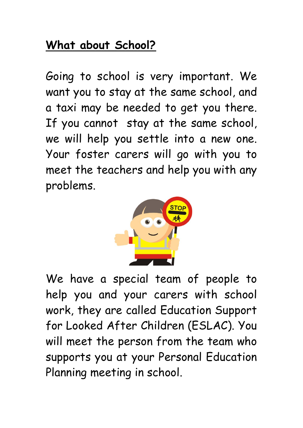## **What about School?**

Going to school is very important. We want you to stay at the same school, and a taxi may be needed to get you there. If you cannot stay at the same school, we will help you settle into a new one. Your foster carers will go with you to meet the teachers and help you with any problems.



We have a special team of people to help you and your carers with school work, they are called Education Support for Looked After Children (ESLAC). You will meet the person from the team who supports you at your Personal Education Planning meeting in school.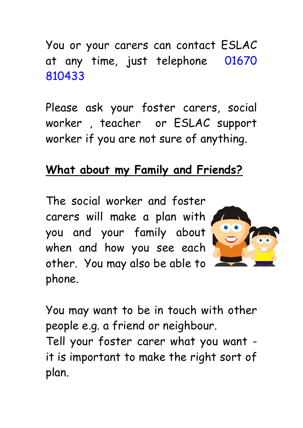You or your carers can contact ESLAC at any time, just telephone 01670 810433

Please ask your foster carers, social worker , teacher or ESLAC support worker if you are not sure of anything.

#### **What about my Family and Friends?**

The social worker and foster carers will make a plan with you and your family about when and how you see each other. You may also be able to phone.



You may want to be in touch with other people e.g. a friend or neighbour.

Tell your foster carer what you want it is important to make the right sort of plan.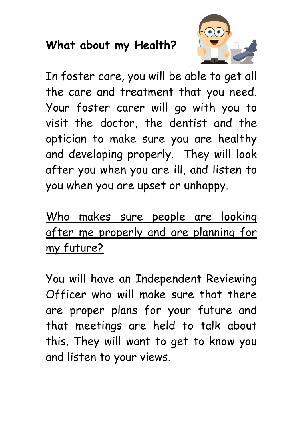## **What about my Health?**



In foster care, you will be able to get all the care and treatment that you need. Your foster carer will go with you to visit the doctor, the dentist and the optician to make sure you are healthy and developing properly. They will look after you when you are ill, and listen to you when you are upset or unhappy.

Who makes sure people are looking after me properly and are planning for my future?

You will have an Independent Reviewing Officer who will make sure that there are proper plans for your future and that meetings are held to talk about this. They will want to get to know you and listen to your views.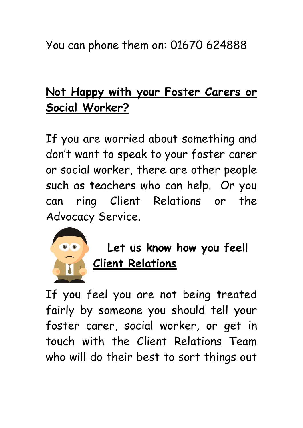You can phone them on: 01670 624888

## **Not Happy with your Foster Carers or Social Worker?**

If you are worried about something and don't want to speak to your foster carer or social worker, there are other people such as teachers who can help. Or you can ring Client Relations or the Advocacy Service.



 **Let us know how you feel! Client Relations**

If you feel you are not being treated fairly by someone you should tell your foster carer, social worker, or get in touch with the Client Relations Team who will do their best to sort things out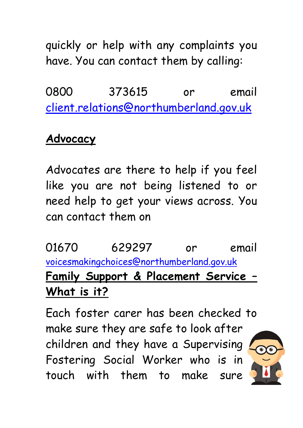quickly or help with any complaints you have. You can contact them by calling:

0800 373615 or email [client.relations@northumberland.gov.uk](mailto:client.relations@northumberland.gov.uk)

## **Advocacy**

Advocates are there to help if you feel like you are not being listened to or need help to get your views across. You can contact them on

01670 629297 or email [voicesmakingchoices@northumberland.gov.uk](mailto:voicesmakingchoices@northumberland.gov.uk) **Family Support & Placement Service – What is it?**

Each foster carer has been checked to make sure they are safe to look after children and they have a Supervising Fostering Social Worker who is in touch with them to make sure

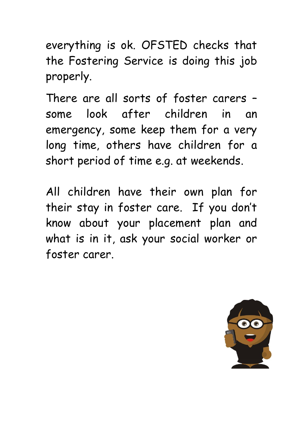everything is ok. OFSTED checks that the Fostering Service is doing this job properly.

There are all sorts of foster carers – some look after children in an emergency, some keep them for a very long time, others have children for a short period of time e.g. at weekends.

All children have their own plan for their stay in foster care. If you don't know about your placement plan and what is in it, ask your social worker or foster carer.

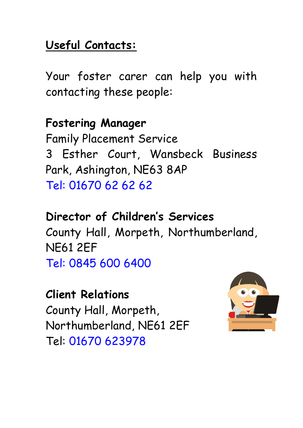#### **Useful Contacts:**

Your foster carer can help you with contacting these people:

**Fostering Manager** Family Placement Service 3 Esther Court, Wansbeck Business Park, Ashington, NE63 8AP Tel: 01670 62 62 62

**Director of Children's Services** County Hall, Morpeth, Northumberland, NE61 2EF Tel: 0845 600 6400

**Client Relations** County Hall, Morpeth, Northumberland, NE61 2EF Tel: 01670 623978